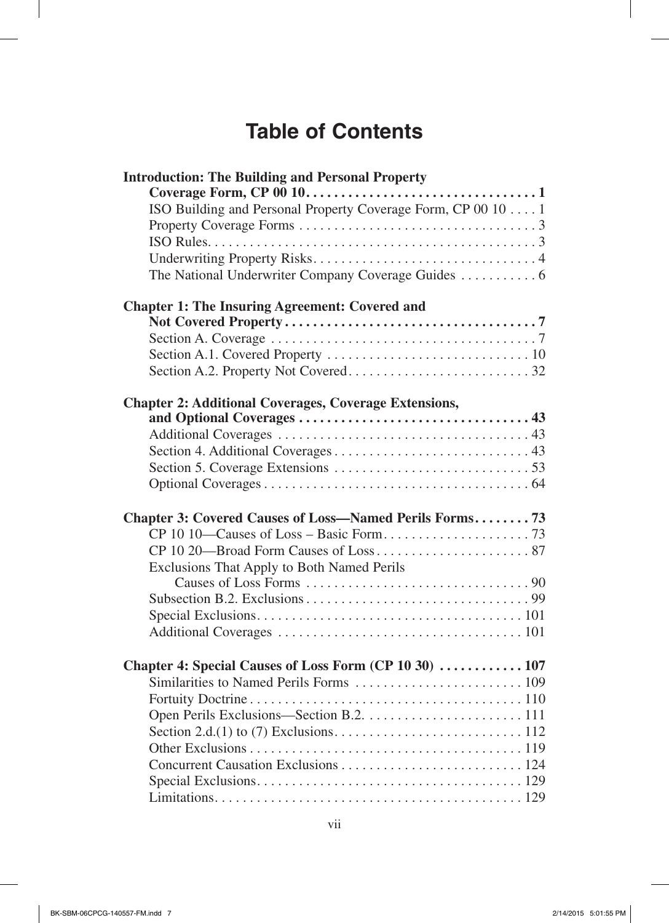## **Table of Contents**

| <b>Introduction: The Building and Personal Property</b>      |  |
|--------------------------------------------------------------|--|
|                                                              |  |
| ISO Building and Personal Property Coverage Form, CP 00 10 1 |  |
|                                                              |  |
|                                                              |  |
|                                                              |  |
|                                                              |  |
| <b>Chapter 1: The Insuring Agreement: Covered and</b>        |  |
|                                                              |  |
|                                                              |  |
|                                                              |  |
|                                                              |  |
| <b>Chapter 2: Additional Coverages, Coverage Extensions,</b> |  |
|                                                              |  |
|                                                              |  |
|                                                              |  |
|                                                              |  |
|                                                              |  |
| Chapter 3: Covered Causes of Loss—Named Perils Forms73       |  |
|                                                              |  |
|                                                              |  |
| Exclusions That Apply to Both Named Perils                   |  |
|                                                              |  |
|                                                              |  |
|                                                              |  |
|                                                              |  |
| Chapter 4: Special Causes of Loss Form (CP 10 30)  107       |  |
|                                                              |  |
|                                                              |  |
|                                                              |  |
|                                                              |  |
|                                                              |  |
|                                                              |  |
|                                                              |  |
|                                                              |  |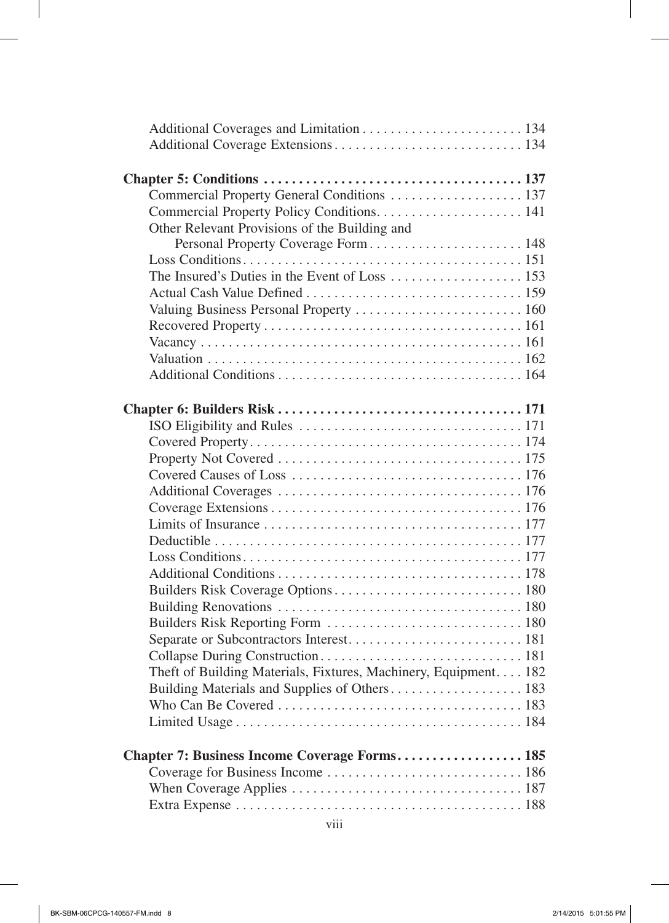| Commercial Property General Conditions 137                       |  |
|------------------------------------------------------------------|--|
|                                                                  |  |
| Other Relevant Provisions of the Building and                    |  |
| Personal Property Coverage Form 148                              |  |
|                                                                  |  |
|                                                                  |  |
|                                                                  |  |
| Valuing Business Personal Property  160                          |  |
|                                                                  |  |
|                                                                  |  |
|                                                                  |  |
|                                                                  |  |
|                                                                  |  |
|                                                                  |  |
|                                                                  |  |
|                                                                  |  |
|                                                                  |  |
|                                                                  |  |
|                                                                  |  |
|                                                                  |  |
|                                                                  |  |
|                                                                  |  |
|                                                                  |  |
|                                                                  |  |
|                                                                  |  |
|                                                                  |  |
|                                                                  |  |
|                                                                  |  |
|                                                                  |  |
| Theft of Building Materials, Fixtures, Machinery, Equipment. 182 |  |
|                                                                  |  |
|                                                                  |  |
|                                                                  |  |
|                                                                  |  |
| <b>Chapter 7: Business Income Coverage Forms 185</b>             |  |
|                                                                  |  |
|                                                                  |  |
|                                                                  |  |
|                                                                  |  |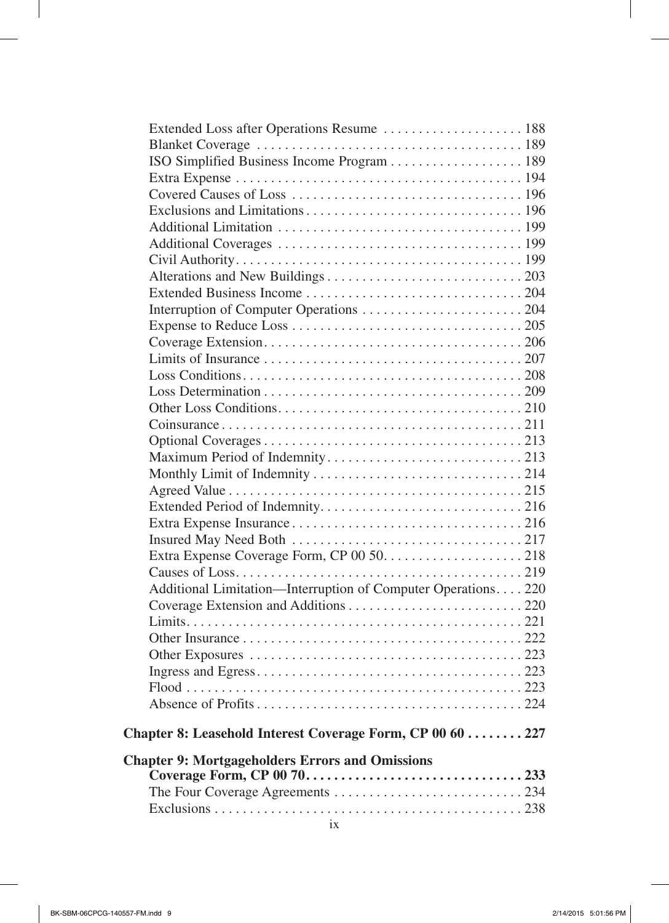| Extended Loss after Operations Resume  188                   |  |
|--------------------------------------------------------------|--|
|                                                              |  |
| ISO Simplified Business Income Program 189                   |  |
|                                                              |  |
|                                                              |  |
|                                                              |  |
|                                                              |  |
|                                                              |  |
|                                                              |  |
|                                                              |  |
|                                                              |  |
|                                                              |  |
|                                                              |  |
|                                                              |  |
|                                                              |  |
|                                                              |  |
|                                                              |  |
|                                                              |  |
|                                                              |  |
|                                                              |  |
|                                                              |  |
|                                                              |  |
|                                                              |  |
|                                                              |  |
|                                                              |  |
|                                                              |  |
|                                                              |  |
|                                                              |  |
| Additional Limitation—Interruption of Computer Operations220 |  |
|                                                              |  |
|                                                              |  |
|                                                              |  |
|                                                              |  |
|                                                              |  |
|                                                              |  |
|                                                              |  |
| Chapter 8: Leasehold Interest Coverage Form, CP 00 60  227   |  |
| <b>Chapter 9: Mortgageholders Errors and Omissions</b>       |  |
|                                                              |  |
|                                                              |  |
|                                                              |  |
|                                                              |  |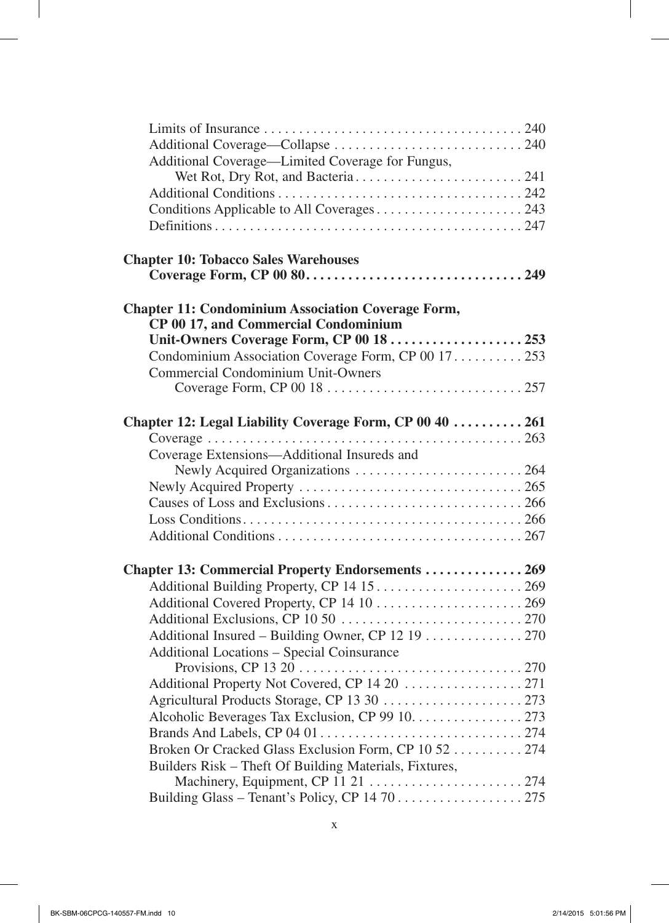| Additional Coverage-Limited Coverage for Fungus,          |  |
|-----------------------------------------------------------|--|
|                                                           |  |
|                                                           |  |
|                                                           |  |
|                                                           |  |
| <b>Chapter 10: Tobacco Sales Warehouses</b>               |  |
|                                                           |  |
| <b>Chapter 11: Condominium Association Coverage Form,</b> |  |
| CP 00 17, and Commercial Condominium                      |  |
| Unit-Owners Coverage Form, CP 00 18  253                  |  |
| Condominium Association Coverage Form, CP 00 17. 253      |  |
| <b>Commercial Condominium Unit-Owners</b>                 |  |
|                                                           |  |
| Chapter 12: Legal Liability Coverage Form, CP 00 40  261  |  |
|                                                           |  |
| Coverage Extensions—Additional Insureds and               |  |
|                                                           |  |
|                                                           |  |
|                                                           |  |
|                                                           |  |
|                                                           |  |
| Chapter 13: Commercial Property Endorsements  269         |  |
|                                                           |  |
|                                                           |  |
|                                                           |  |
| Additional Insured – Building Owner, CP 12 19 270         |  |
| <b>Additional Locations - Special Coinsurance</b>         |  |
|                                                           |  |
|                                                           |  |
|                                                           |  |
| Alcoholic Beverages Tax Exclusion, CP 99 10. 273          |  |
|                                                           |  |
| Broken Or Cracked Glass Exclusion Form, CP 10 52  274     |  |
| Builders Risk – Theft Of Building Materials, Fixtures,    |  |
| Machinery, Equipment, CP 11 21  274                       |  |
|                                                           |  |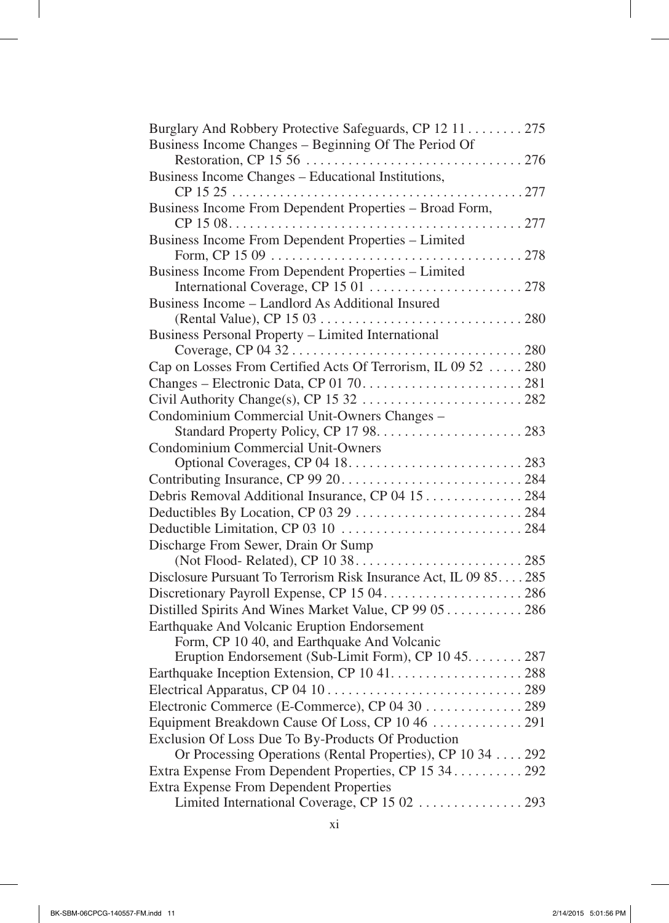| Burglary And Robbery Protective Safeguards, CP 12 11 275          |
|-------------------------------------------------------------------|
| Business Income Changes – Beginning Of The Period Of              |
|                                                                   |
| Business Income Changes - Educational Institutions,               |
|                                                                   |
| Business Income From Dependent Properties - Broad Form,           |
|                                                                   |
| Business Income From Dependent Properties - Limited               |
|                                                                   |
| Business Income From Dependent Properties - Limited               |
|                                                                   |
| Business Income – Landlord As Additional Insured                  |
| Business Personal Property - Limited International                |
|                                                                   |
| Cap on Losses From Certified Acts Of Terrorism, IL 09 52  280     |
|                                                                   |
|                                                                   |
| Condominium Commercial Unit-Owners Changes -                      |
|                                                                   |
| Condominium Commercial Unit-Owners                                |
|                                                                   |
|                                                                   |
| Debris Removal Additional Insurance, CP 04 15 284                 |
|                                                                   |
|                                                                   |
| Discharge From Sewer, Drain Or Sump                               |
|                                                                   |
| Disclosure Pursuant To Terrorism Risk Insurance Act, IL 09 85 285 |
|                                                                   |
| Distilled Spirits And Wines Market Value, CP 99 05 286            |
| Earthquake And Volcanic Eruption Endorsement                      |
| Form, CP 10 40, and Earthquake And Volcanic                       |
| Eruption Endorsement (Sub-Limit Form), CP 10 45. 287              |
|                                                                   |
|                                                                   |
| Electronic Commerce (E-Commerce), CP 04 30 289                    |
|                                                                   |
| Exclusion Of Loss Due To By-Products Of Production                |
| Or Processing Operations (Rental Properties), CP 10 34 292        |
| Extra Expense From Dependent Properties, CP 15 34 292             |
| <b>Extra Expense From Dependent Properties</b>                    |
| Limited International Coverage, CP 15 02  293                     |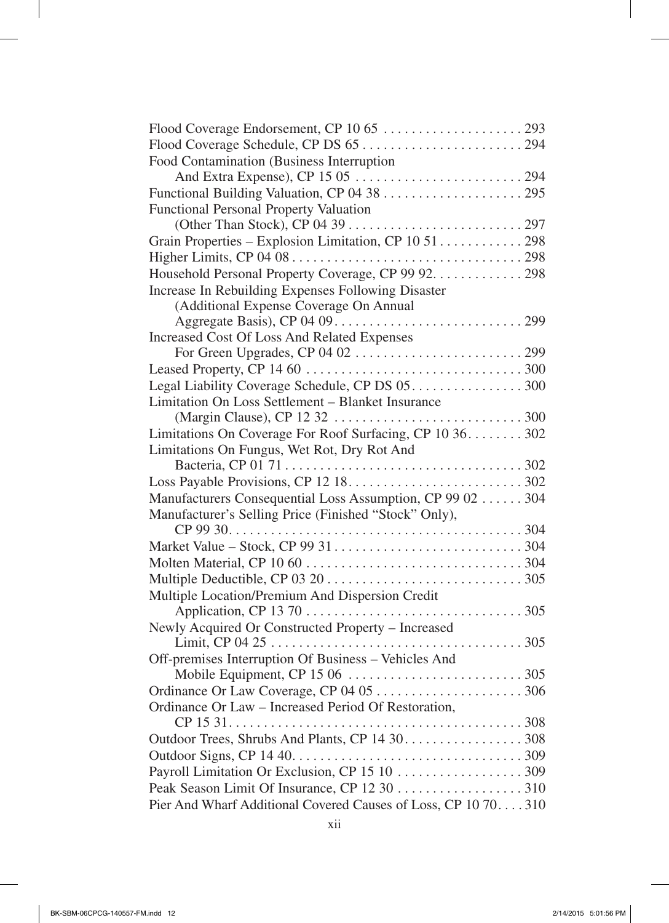| Food Contamination (Business Interruption                       |
|-----------------------------------------------------------------|
|                                                                 |
|                                                                 |
| <b>Functional Personal Property Valuation</b>                   |
|                                                                 |
| Grain Properties - Explosion Limitation, CP 10 51 298           |
|                                                                 |
| Household Personal Property Coverage, CP 99 92. 298             |
| Increase In Rebuilding Expenses Following Disaster              |
| (Additional Expense Coverage On Annual                          |
|                                                                 |
| <b>Increased Cost Of Loss And Related Expenses</b>              |
|                                                                 |
|                                                                 |
|                                                                 |
| Limitation On Loss Settlement - Blanket Insurance               |
|                                                                 |
| Limitations On Coverage For Roof Surfacing, CP 10 36. 302       |
| Limitations On Fungus, Wet Rot, Dry Rot And                     |
|                                                                 |
|                                                                 |
| Manufacturers Consequential Loss Assumption, CP 99 02  304      |
| Manufacturer's Selling Price (Finished "Stock" Only),           |
|                                                                 |
|                                                                 |
|                                                                 |
|                                                                 |
| Multiple Location/Premium And Dispersion Credit                 |
|                                                                 |
| Newly Acquired Or Constructed Property - Increased              |
|                                                                 |
| Off-premises Interruption Of Business – Vehicles And            |
|                                                                 |
|                                                                 |
| Ordinance Or Law - Increased Period Of Restoration,             |
|                                                                 |
| Outdoor Trees, Shrubs And Plants, CP 14 30. 308                 |
|                                                                 |
|                                                                 |
|                                                                 |
| Pier And Wharf Additional Covered Causes of Loss, CP 10 70. 310 |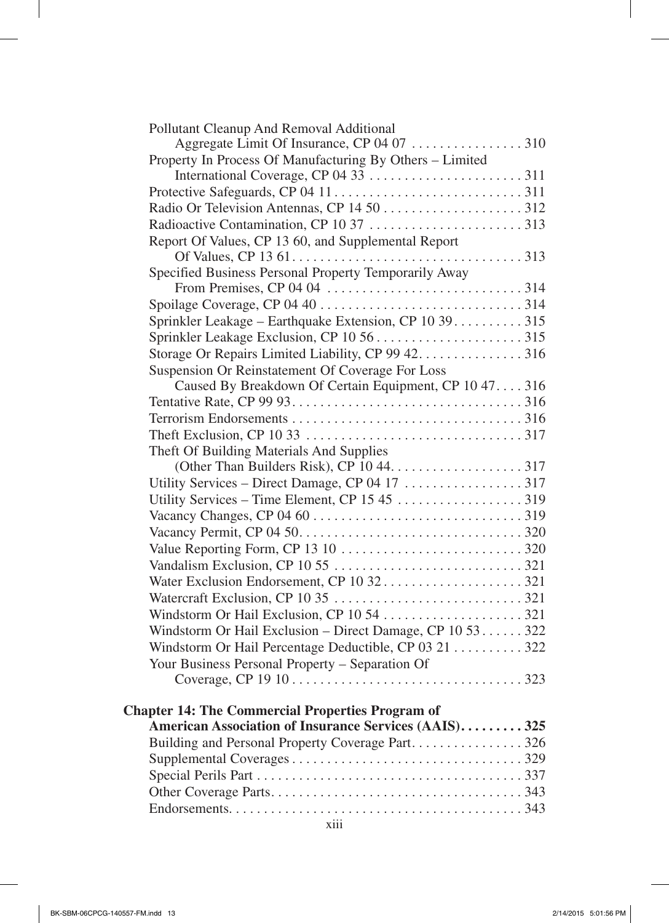| Pollutant Cleanup And Removal Additional                  |
|-----------------------------------------------------------|
|                                                           |
| Property In Process Of Manufacturing By Others – Limited  |
|                                                           |
|                                                           |
|                                                           |
|                                                           |
| Report Of Values, CP 13 60, and Supplemental Report       |
|                                                           |
| Specified Business Personal Property Temporarily Away     |
|                                                           |
|                                                           |
| Sprinkler Leakage – Earthquake Extension, CP 10 39315     |
|                                                           |
| Storage Or Repairs Limited Liability, CP 99 42. 316       |
| Suspension Or Reinstatement Of Coverage For Loss          |
| Caused By Breakdown Of Certain Equipment, CP 10 47. 316   |
|                                                           |
|                                                           |
| Theft Of Building Materials And Supplies                  |
|                                                           |
|                                                           |
|                                                           |
|                                                           |
|                                                           |
|                                                           |
|                                                           |
|                                                           |
|                                                           |
|                                                           |
| Windstorm Or Hail Exclusion - Direct Damage, CP 10 53 322 |
| Windstorm Or Hail Percentage Deductible, CP 03 21  322    |
| Your Business Personal Property – Separation Of           |
|                                                           |
|                                                           |
| <b>Chapter 14: The Commercial Properties Program of</b>   |
| American Association of Insurance Services (AAIS)325      |
| Building and Personal Property Coverage Part326           |
|                                                           |
|                                                           |
|                                                           |
|                                                           |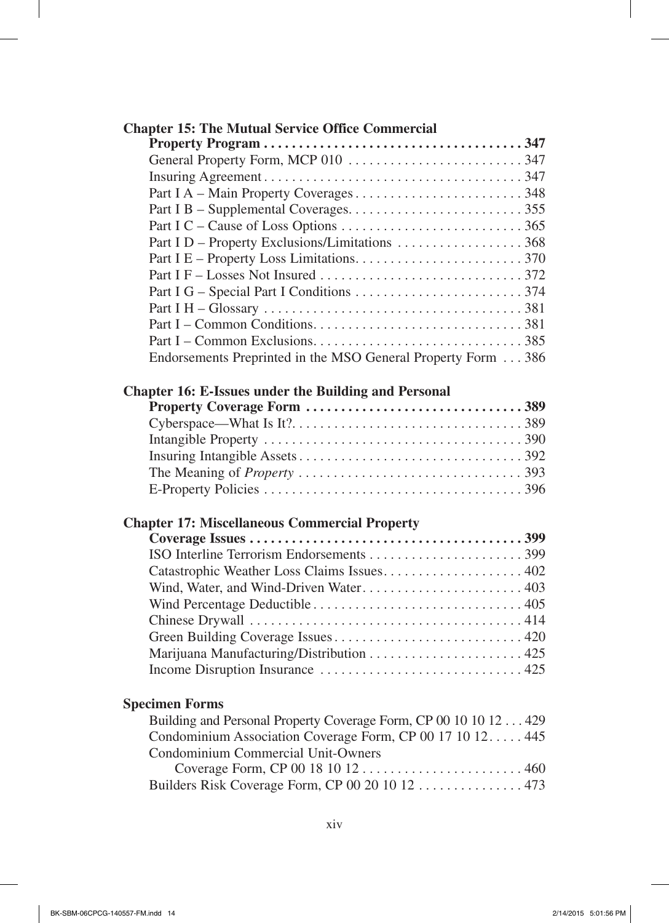| <b>Chapter 15: The Mutual Service Office Commercial</b>          |  |
|------------------------------------------------------------------|--|
|                                                                  |  |
|                                                                  |  |
|                                                                  |  |
|                                                                  |  |
|                                                                  |  |
|                                                                  |  |
| Part I D - Property Exclusions/Limitations 368                   |  |
|                                                                  |  |
|                                                                  |  |
|                                                                  |  |
|                                                                  |  |
|                                                                  |  |
|                                                                  |  |
| Endorsements Preprinted in the MSO General Property Form 386     |  |
| <b>Chapter 16: E-Issues under the Building and Personal</b>      |  |
|                                                                  |  |
|                                                                  |  |
|                                                                  |  |
|                                                                  |  |
|                                                                  |  |
|                                                                  |  |
| <b>Chapter 17: Miscellaneous Commercial Property</b>             |  |
|                                                                  |  |
|                                                                  |  |
| Catastrophic Weather Loss Claims Issues 402                      |  |
| Wind, Water, and Wind-Driven Water 403                           |  |
|                                                                  |  |
|                                                                  |  |
|                                                                  |  |
|                                                                  |  |
|                                                                  |  |
| <b>Specimen Forms</b>                                            |  |
| Building and Personal Property Coverage Form, CP 00 10 10 12 429 |  |
| Condominium Association Coverage Form, CP 00 17 10 12 445        |  |
| Condominium Commercial Unit-Owners                               |  |
|                                                                  |  |
| Builders Risk Coverage Form, CP 00 20 10 12  473                 |  |
|                                                                  |  |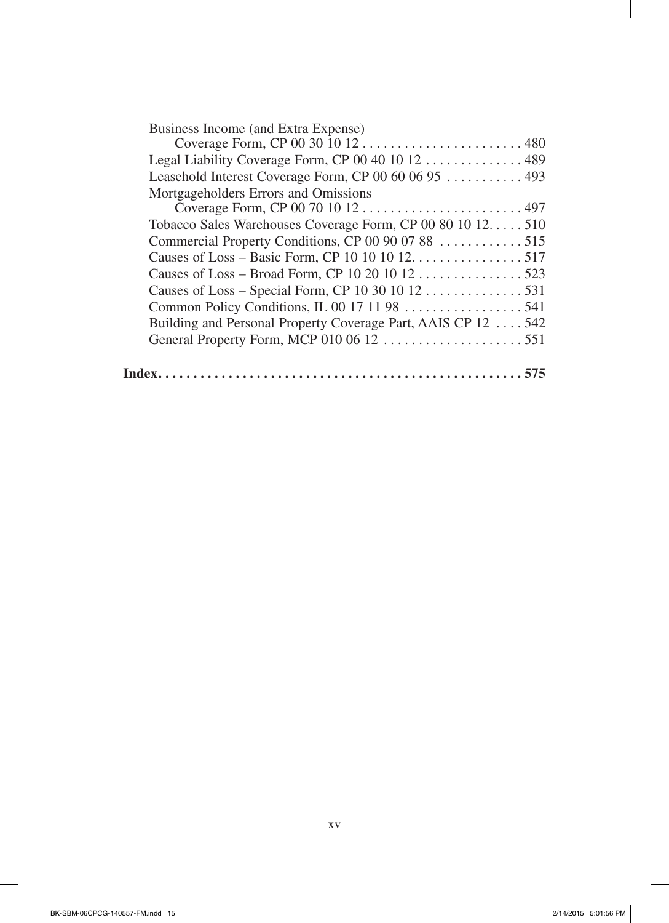| Business Income (and Extra Expense)                           |  |
|---------------------------------------------------------------|--|
|                                                               |  |
| Legal Liability Coverage Form, CP 00 40 10 12  489            |  |
| Leasehold Interest Coverage Form, CP 00 60 06 95  493         |  |
| Mortgageholders Errors and Omissions                          |  |
|                                                               |  |
| Tobacco Sales Warehouses Coverage Form, CP 00 80 10 12. 510   |  |
| Commercial Property Conditions, CP 00 90 07 88 515            |  |
| Causes of Loss – Basic Form, CP 10 10 10 12. 517              |  |
| Causes of Loss – Broad Form, CP 10 20 10 12 523               |  |
| Causes of Loss – Special Form, CP 10 30 10 12 531             |  |
|                                                               |  |
| Building and Personal Property Coverage Part, AAIS CP 12  542 |  |
|                                                               |  |
|                                                               |  |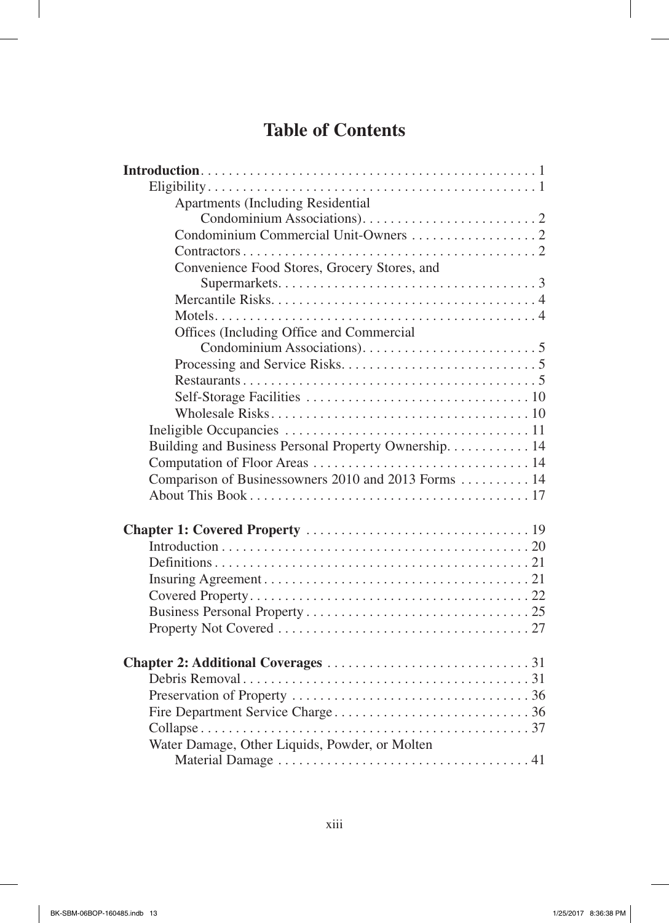## **Table of Contents**

| <b>Apartments (Including Residential</b>              |
|-------------------------------------------------------|
|                                                       |
|                                                       |
|                                                       |
| Convenience Food Stores, Grocery Stores, and          |
|                                                       |
|                                                       |
|                                                       |
| Offices (Including Office and Commercial              |
|                                                       |
|                                                       |
|                                                       |
|                                                       |
|                                                       |
|                                                       |
| Building and Business Personal Property Ownership. 14 |
|                                                       |
| Comparison of Businessowners 2010 and 2013 Forms  14  |
|                                                       |
|                                                       |
|                                                       |
|                                                       |
|                                                       |
|                                                       |
|                                                       |
|                                                       |
|                                                       |
|                                                       |
|                                                       |
|                                                       |
|                                                       |
|                                                       |
|                                                       |
|                                                       |
| Water Damage, Other Liquids, Powder, or Molten        |
|                                                       |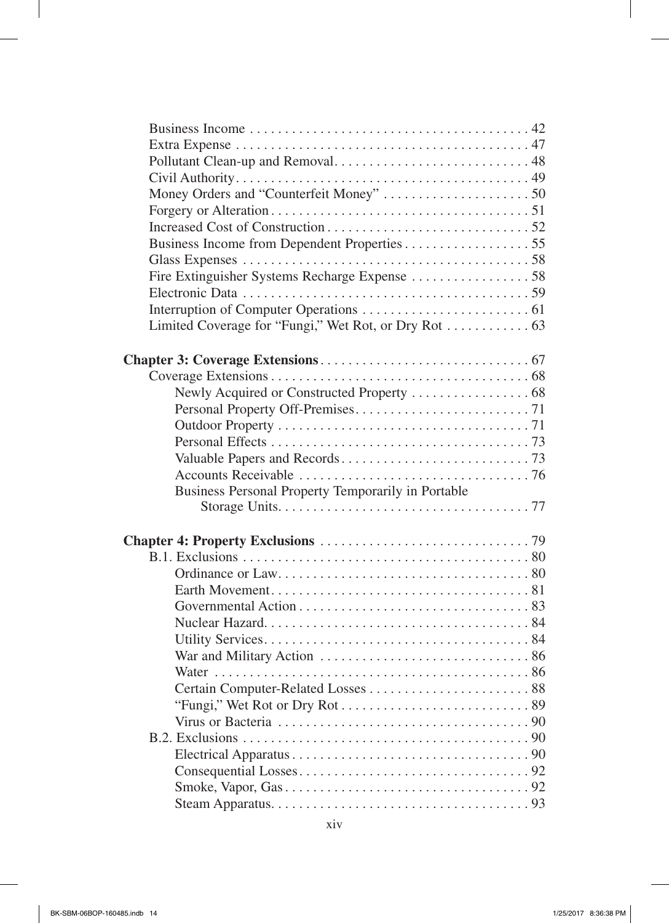| Business Personal Property Temporarily in Portable |  |
|----------------------------------------------------|--|
|                                                    |  |
|                                                    |  |
|                                                    |  |
|                                                    |  |
|                                                    |  |
|                                                    |  |
|                                                    |  |
|                                                    |  |
|                                                    |  |
|                                                    |  |
|                                                    |  |
|                                                    |  |
|                                                    |  |
|                                                    |  |
|                                                    |  |
|                                                    |  |
|                                                    |  |
|                                                    |  |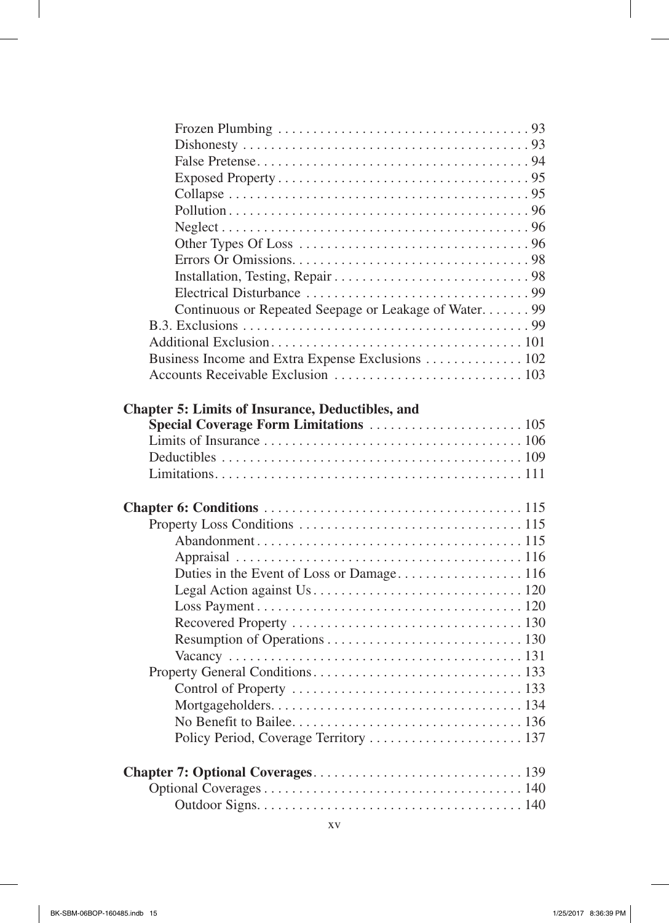| Continuous or Repeated Seepage or Leakage of Water 99   |  |
|---------------------------------------------------------|--|
|                                                         |  |
|                                                         |  |
| Business Income and Extra Expense Exclusions 102        |  |
|                                                         |  |
|                                                         |  |
| <b>Chapter 5: Limits of Insurance, Deductibles, and</b> |  |
|                                                         |  |
|                                                         |  |
|                                                         |  |
|                                                         |  |
|                                                         |  |
|                                                         |  |
|                                                         |  |
|                                                         |  |
|                                                         |  |
|                                                         |  |
|                                                         |  |
|                                                         |  |
|                                                         |  |
|                                                         |  |
|                                                         |  |
|                                                         |  |
|                                                         |  |
|                                                         |  |
|                                                         |  |
|                                                         |  |
|                                                         |  |
|                                                         |  |
|                                                         |  |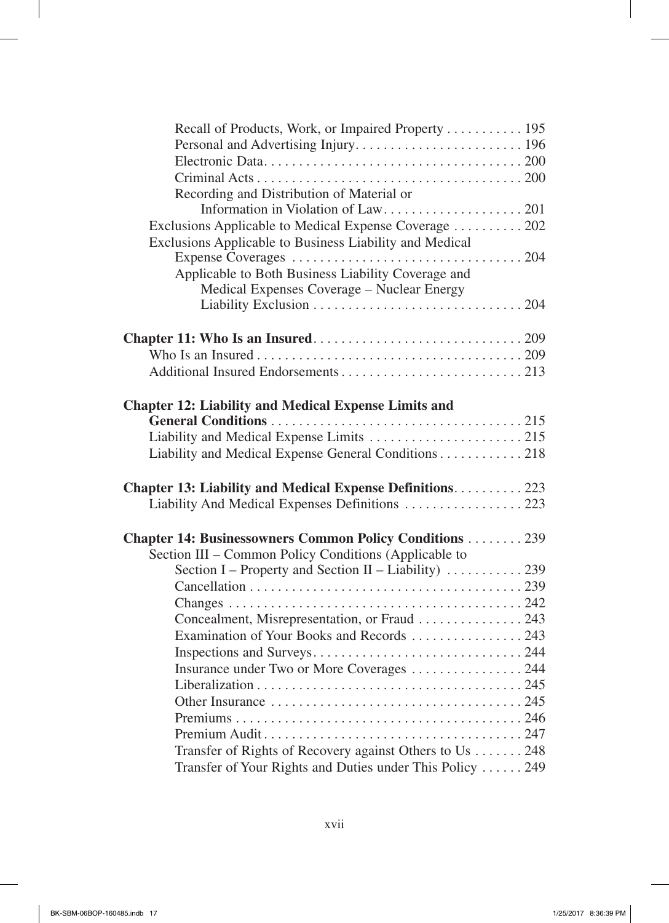| Recall of Products, Work, or Impaired Property 195               |  |
|------------------------------------------------------------------|--|
|                                                                  |  |
|                                                                  |  |
|                                                                  |  |
| Recording and Distribution of Material or                        |  |
|                                                                  |  |
| Exclusions Applicable to Medical Expense Coverage  202           |  |
| Exclusions Applicable to Business Liability and Medical          |  |
|                                                                  |  |
| Applicable to Both Business Liability Coverage and               |  |
| Medical Expenses Coverage – Nuclear Energy                       |  |
|                                                                  |  |
|                                                                  |  |
|                                                                  |  |
|                                                                  |  |
|                                                                  |  |
|                                                                  |  |
| <b>Chapter 12: Liability and Medical Expense Limits and</b>      |  |
|                                                                  |  |
| Liability and Medical Expense General Conditions 218             |  |
|                                                                  |  |
| <b>Chapter 13: Liability and Medical Expense Definitions 223</b> |  |
| Liability And Medical Expenses Definitions  223                  |  |
|                                                                  |  |
| <b>Chapter 14: Businessowners Common Policy Conditions  239</b>  |  |
| Section III – Common Policy Conditions (Applicable to            |  |
|                                                                  |  |
|                                                                  |  |
|                                                                  |  |
| Concealment, Misrepresentation, or Fraud  243                    |  |
| Examination of Your Books and Records 243                        |  |
|                                                                  |  |
|                                                                  |  |
|                                                                  |  |
|                                                                  |  |
|                                                                  |  |
|                                                                  |  |
| Transfer of Rights of Recovery against Others to Us 248          |  |
| Transfer of Your Rights and Duties under This Policy  249        |  |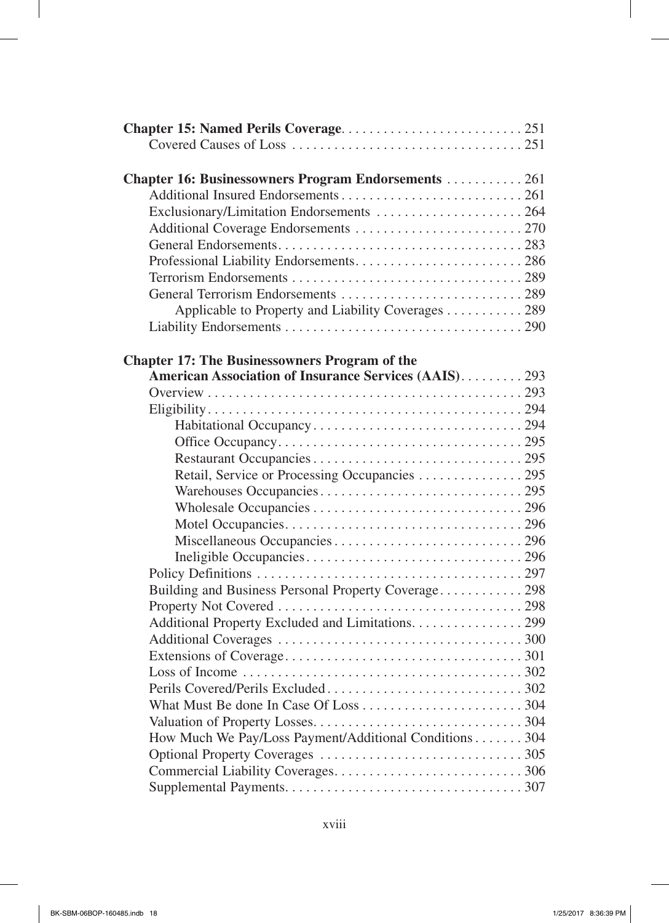| <b>Chapter 16: Businessowners Program Endorsements  261</b> |  |
|-------------------------------------------------------------|--|
|                                                             |  |
| Exclusionary/Limitation Endorsements  264                   |  |
|                                                             |  |
|                                                             |  |
|                                                             |  |
|                                                             |  |
|                                                             |  |
| Applicable to Property and Liability Coverages 289          |  |
|                                                             |  |
|                                                             |  |
| <b>Chapter 17: The Businessowners Program of the</b>        |  |
| American Association of Insurance Services (AAIS)293        |  |
|                                                             |  |
|                                                             |  |
|                                                             |  |
|                                                             |  |
|                                                             |  |
| Retail, Service or Processing Occupancies 295               |  |
|                                                             |  |
|                                                             |  |
|                                                             |  |
|                                                             |  |
|                                                             |  |
|                                                             |  |
| Building and Business Personal Property Coverage298         |  |
|                                                             |  |
| Additional Property Excluded and Limitations. 299           |  |
|                                                             |  |
|                                                             |  |
|                                                             |  |
|                                                             |  |
|                                                             |  |
|                                                             |  |
| How Much We Pay/Loss Payment/Additional Conditions 304      |  |
|                                                             |  |
|                                                             |  |
|                                                             |  |